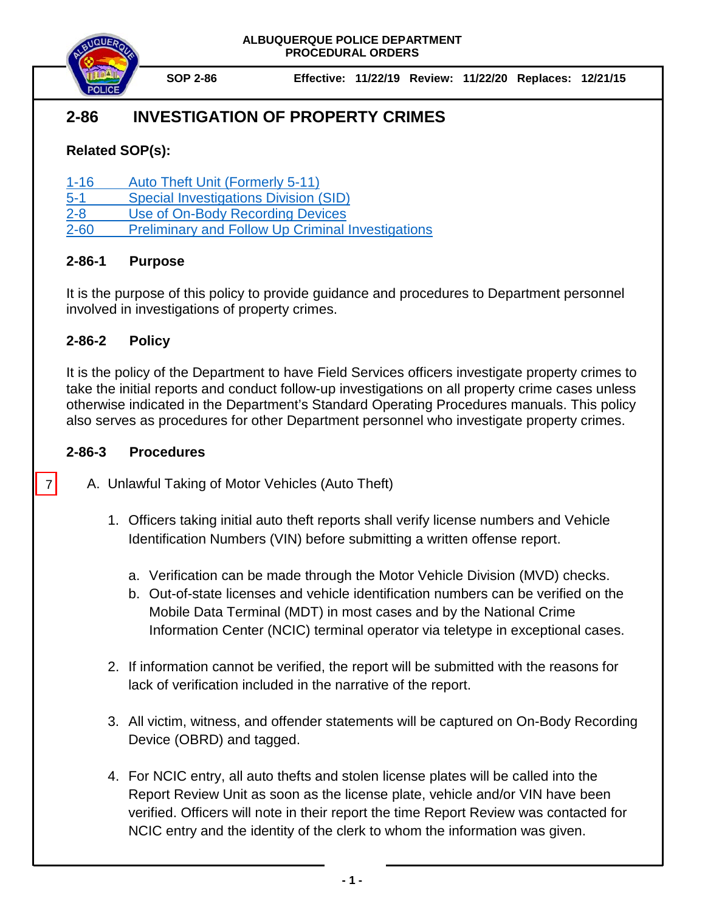

**SOP 2-86 Effective: 11/22/19 Review: 11/22/20 Replaces: 12/21/15**

# **2-86 INVESTIGATION OF PROPERTY CRIMES**

## **Related SOP(s):**

[1-16 Auto Theft Unit \(Formerly 5-11\)](https://powerdms.com/link/IDS/document/?id=530)

[5-1 Special Investigations Division \(SID\)](https://powerdms.com/link/IDS/document/?id=4) 

[2-8 Use of On-Body Recording Devices](https://powerdms.com/link/IDS/document/?id=1137)

[2-60 Preliminary and Follow Up](https://powerdms.com/link/IDS/document/?id=107) Criminal Investigations

### **2-86-1 Purpose**

It is the purpose of this policy to provide guidance and procedures to Department personnel involved in investigations of property crimes.

### **2-86-2 Policy**

It is the policy of the Department to have Field Services officers investigate property crimes to take the initial reports and conduct follow-up investigations on all property crime cases unless otherwise indicated in the Department's Standard Operating Procedures manuals. This policy also serves as procedures for other Department personnel who investigate property crimes.

#### **2-86-3 Procedures**

7

- A. Unlawful Taking of Motor Vehicles (Auto Theft)
	- 1. Officers taking initial auto theft reports shall verify license numbers and Vehicle Identification Numbers (VIN) before submitting a written offense report.
		- a. Verification can be made through the Motor Vehicle Division (MVD) checks.
		- b. Out-of-state licenses and vehicle identification numbers can be verified on the Mobile Data Terminal (MDT) in most cases and by the National Crime Information Center (NCIC) terminal operator via teletype in exceptional cases.
	- 2. If information cannot be verified, the report will be submitted with the reasons for lack of verification included in the narrative of the report.
	- 3. All victim, witness, and offender statements will be captured on On-Body Recording Device (OBRD) and tagged.
	- 4. For NCIC entry, all auto thefts and stolen license plates will be called into the Report Review Unit as soon as the license plate, vehicle and/or VIN have been verified. Officers will note in their report the time Report Review was contacted for NCIC entry and the identity of the clerk to whom the information was given.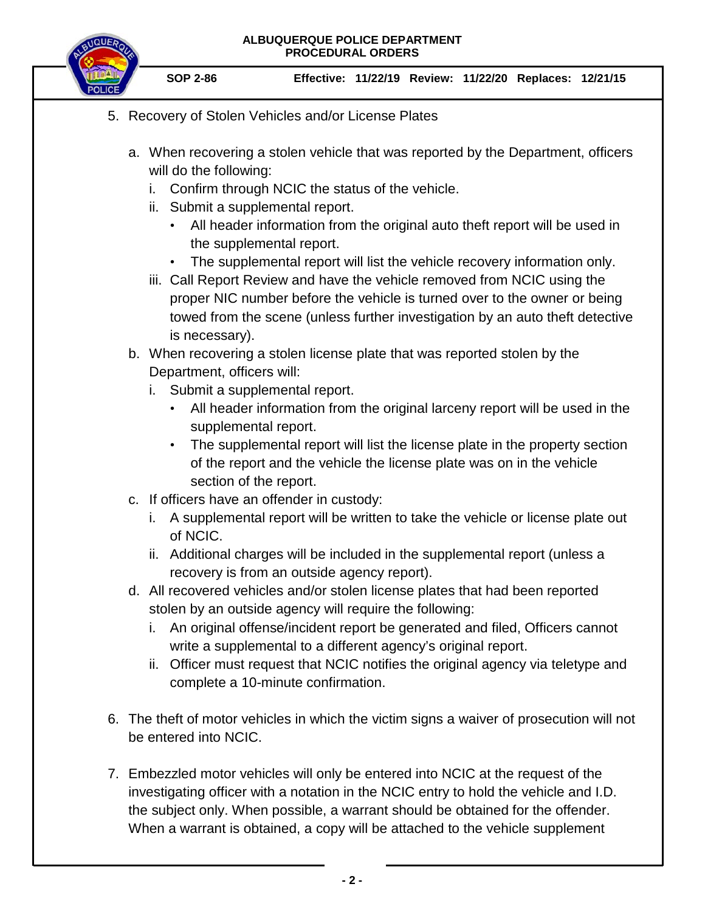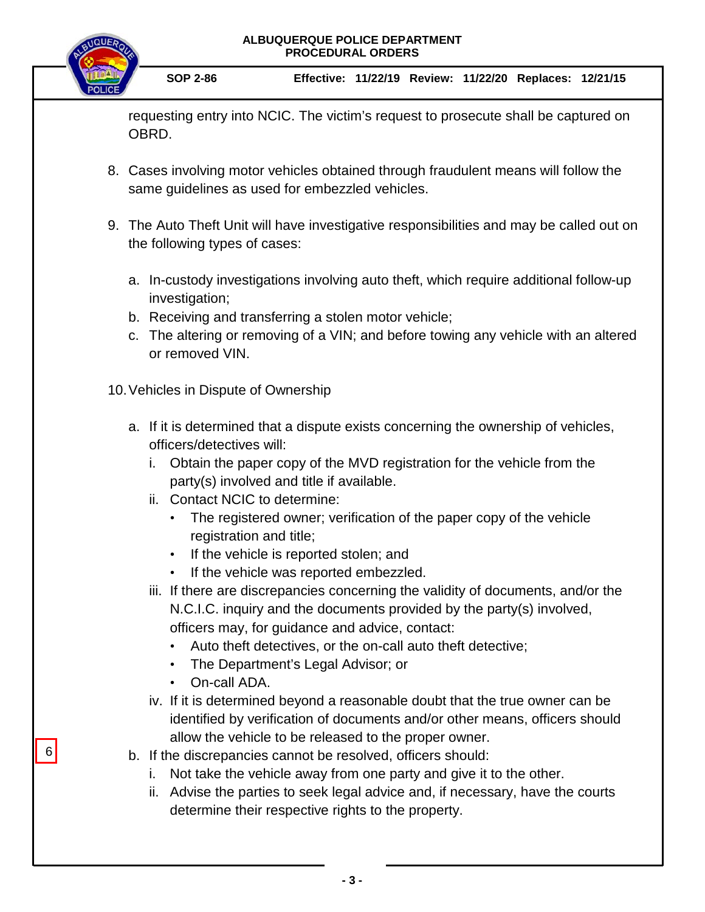requesting entry into NCIC. The victim's request to prosecute shall be captured on OBRD.

- 8. Cases involving motor vehicles obtained through fraudulent means will follow the same guidelines as used for embezzled vehicles.
- 9. The Auto Theft Unit will have investigative responsibilities and may be called out on the following types of cases:
	- a. In-custody investigations involving auto theft, which require additional follow-up investigation;
	- b. Receiving and transferring a stolen motor vehicle;
	- c. The altering or removing of a VIN; and before towing any vehicle with an altered or removed VIN.

10.Vehicles in Dispute of Ownership

- a. If it is determined that a dispute exists concerning the ownership of vehicles, officers/detectives will:
	- i. Obtain the paper copy of the MVD registration for the vehicle from the party(s) involved and title if available.
	- ii. Contact NCIC to determine:
		- The registered owner; verification of the paper copy of the vehicle registration and title;
		- If the vehicle is reported stolen; and
		- If the vehicle was reported embezzled.
	- iii. If there are discrepancies concerning the validity of documents, and/or the N.C.I.C. inquiry and the documents provided by the party(s) involved, officers may, for guidance and advice, contact:
		- Auto theft detectives, or the on-call auto theft detective;
		- The Department's Legal Advisor; or
		- On-call ADA.

6

- iv. If it is determined beyond a reasonable doubt that the true owner can be identified by verification of documents and/or other means, officers should allow the vehicle to be released to the proper owner.
- b. If the discrepancies cannot be resolved, officers should:
	- i. Not take the vehicle away from one party and give it to the other.
	- ii. Advise the parties to seek legal advice and, if necessary, have the courts determine their respective rights to the property.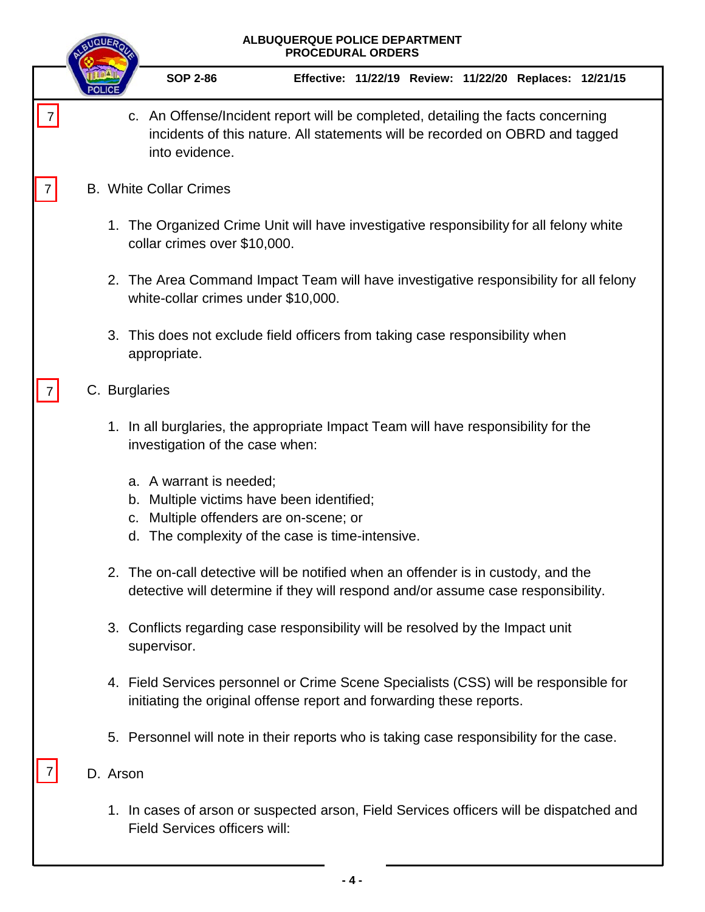